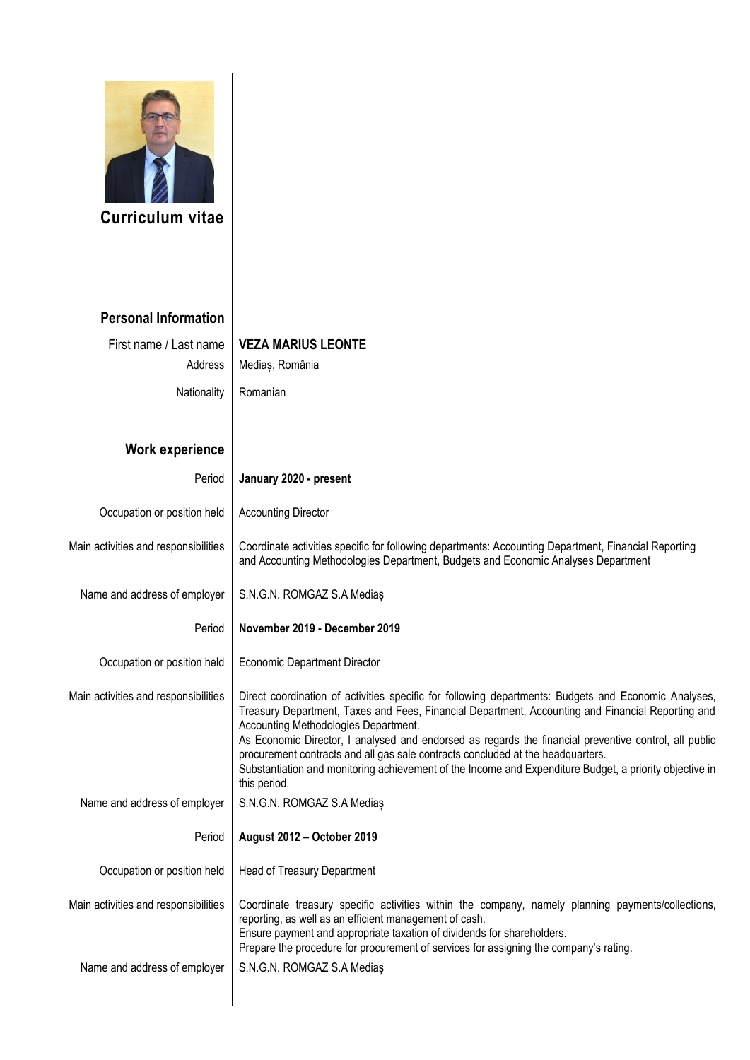

**Curriculum vitae** 

## **Personal Information**

First name / Last name **VEZA MARIUS LEONTE** Address | Mediaș, România Nationality Romanian

## **Work experience**

| סטווס האמפוופווט                     |                                                                                                                                                                                                                                                                                                                                                                                                                                                                                                                                                                          |
|--------------------------------------|--------------------------------------------------------------------------------------------------------------------------------------------------------------------------------------------------------------------------------------------------------------------------------------------------------------------------------------------------------------------------------------------------------------------------------------------------------------------------------------------------------------------------------------------------------------------------|
| Period                               | January 2020 - present                                                                                                                                                                                                                                                                                                                                                                                                                                                                                                                                                   |
| Occupation or position held          | <b>Accounting Director</b>                                                                                                                                                                                                                                                                                                                                                                                                                                                                                                                                               |
| Main activities and responsibilities | Coordinate activities specific for following departments: Accounting Department, Financial Reporting<br>and Accounting Methodologies Department, Budgets and Economic Analyses Department                                                                                                                                                                                                                                                                                                                                                                                |
| Name and address of employer         | S.N.G.N. ROMGAZ S.A Medias                                                                                                                                                                                                                                                                                                                                                                                                                                                                                                                                               |
| Period                               | November 2019 - December 2019                                                                                                                                                                                                                                                                                                                                                                                                                                                                                                                                            |
| Occupation or position held          | <b>Economic Department Director</b>                                                                                                                                                                                                                                                                                                                                                                                                                                                                                                                                      |
| Main activities and responsibilities | Direct coordination of activities specific for following departments: Budgets and Economic Analyses,<br>Treasury Department, Taxes and Fees, Financial Department, Accounting and Financial Reporting and<br>Accounting Methodologies Department.<br>As Economic Director, I analysed and endorsed as regards the financial preventive control, all public<br>procurement contracts and all gas sale contracts concluded at the headquarters.<br>Substantiation and monitoring achievement of the Income and Expenditure Budget, a priority objective in<br>this period. |
| Name and address of employer         | S.N.G.N. ROMGAZ S.A Medias                                                                                                                                                                                                                                                                                                                                                                                                                                                                                                                                               |
| Period                               | August 2012 - October 2019                                                                                                                                                                                                                                                                                                                                                                                                                                                                                                                                               |
| Occupation or position held          | Head of Treasury Department                                                                                                                                                                                                                                                                                                                                                                                                                                                                                                                                              |
| Main activities and responsibilities | Coordinate treasury specific activities within the company, namely planning payments/collections,<br>reporting, as well as an efficient management of cash.<br>Ensure payment and appropriate taxation of dividends for shareholders.<br>Prepare the procedure for procurement of services for assigning the company's rating.                                                                                                                                                                                                                                           |
| Name and address of employer         | S.N.G.N. ROMGAZ S.A Medias                                                                                                                                                                                                                                                                                                                                                                                                                                                                                                                                               |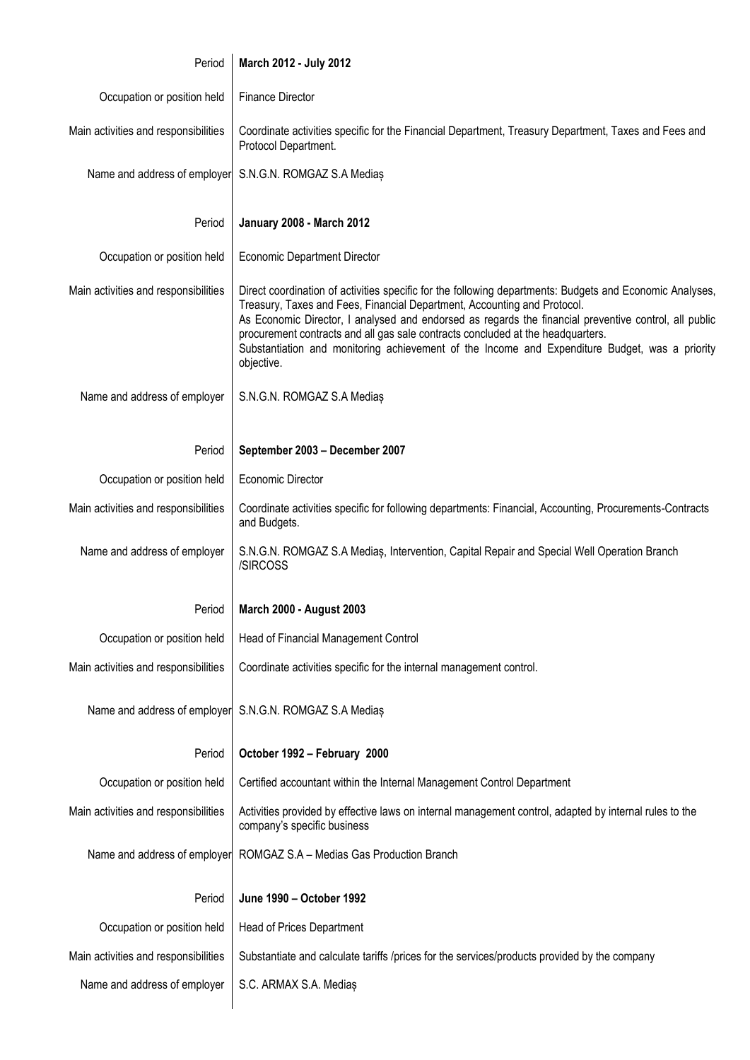| Period                               | March 2012 - July 2012                                                                                                                                                                                                                                                                                                                                                                                                                                                                           |
|--------------------------------------|--------------------------------------------------------------------------------------------------------------------------------------------------------------------------------------------------------------------------------------------------------------------------------------------------------------------------------------------------------------------------------------------------------------------------------------------------------------------------------------------------|
| Occupation or position held          | <b>Finance Director</b>                                                                                                                                                                                                                                                                                                                                                                                                                                                                          |
| Main activities and responsibilities | Coordinate activities specific for the Financial Department, Treasury Department, Taxes and Fees and<br>Protocol Department.                                                                                                                                                                                                                                                                                                                                                                     |
| Name and address of employer         | S.N.G.N. ROMGAZ S.A Medias                                                                                                                                                                                                                                                                                                                                                                                                                                                                       |
| Period                               | <b>January 2008 - March 2012</b>                                                                                                                                                                                                                                                                                                                                                                                                                                                                 |
| Occupation or position held          | <b>Economic Department Director</b>                                                                                                                                                                                                                                                                                                                                                                                                                                                              |
| Main activities and responsibilities | Direct coordination of activities specific for the following departments: Budgets and Economic Analyses,<br>Treasury, Taxes and Fees, Financial Department, Accounting and Protocol.<br>As Economic Director, I analysed and endorsed as regards the financial preventive control, all public<br>procurement contracts and all gas sale contracts concluded at the headquarters.<br>Substantiation and monitoring achievement of the Income and Expenditure Budget, was a priority<br>objective. |
| Name and address of employer         | S.N.G.N. ROMGAZ S.A Medias                                                                                                                                                                                                                                                                                                                                                                                                                                                                       |
| Period                               | September 2003 - December 2007                                                                                                                                                                                                                                                                                                                                                                                                                                                                   |
| Occupation or position held          | <b>Economic Director</b>                                                                                                                                                                                                                                                                                                                                                                                                                                                                         |
| Main activities and responsibilities | Coordinate activities specific for following departments: Financial, Accounting, Procurements-Contracts<br>and Budgets.                                                                                                                                                                                                                                                                                                                                                                          |
| Name and address of employer         | S.N.G.N. ROMGAZ S.A Medias, Intervention, Capital Repair and Special Well Operation Branch<br>/SIRCOSS                                                                                                                                                                                                                                                                                                                                                                                           |
| Period                               | <b>March 2000 - August 2003</b>                                                                                                                                                                                                                                                                                                                                                                                                                                                                  |
| Occupation or position held          | Head of Financial Management Control                                                                                                                                                                                                                                                                                                                                                                                                                                                             |
| Main activities and responsibilities | Coordinate activities specific for the internal management control.                                                                                                                                                                                                                                                                                                                                                                                                                              |
| Name and address of employer         | S.N.G.N. ROMGAZ S.A Medias                                                                                                                                                                                                                                                                                                                                                                                                                                                                       |
| Period                               | October 1992 - February 2000                                                                                                                                                                                                                                                                                                                                                                                                                                                                     |
| Occupation or position held          | Certified accountant within the Internal Management Control Department                                                                                                                                                                                                                                                                                                                                                                                                                           |
| Main activities and responsibilities | Activities provided by effective laws on internal management control, adapted by internal rules to the<br>company's specific business                                                                                                                                                                                                                                                                                                                                                            |
| Name and address of employer         | ROMGAZ S.A - Medias Gas Production Branch                                                                                                                                                                                                                                                                                                                                                                                                                                                        |
| Period                               | June 1990 - October 1992                                                                                                                                                                                                                                                                                                                                                                                                                                                                         |
| Occupation or position held          | Head of Prices Department                                                                                                                                                                                                                                                                                                                                                                                                                                                                        |
| Main activities and responsibilities | Substantiate and calculate tariffs /prices for the services/products provided by the company                                                                                                                                                                                                                                                                                                                                                                                                     |
| Name and address of employer         | S.C. ARMAX S.A. Medias                                                                                                                                                                                                                                                                                                                                                                                                                                                                           |